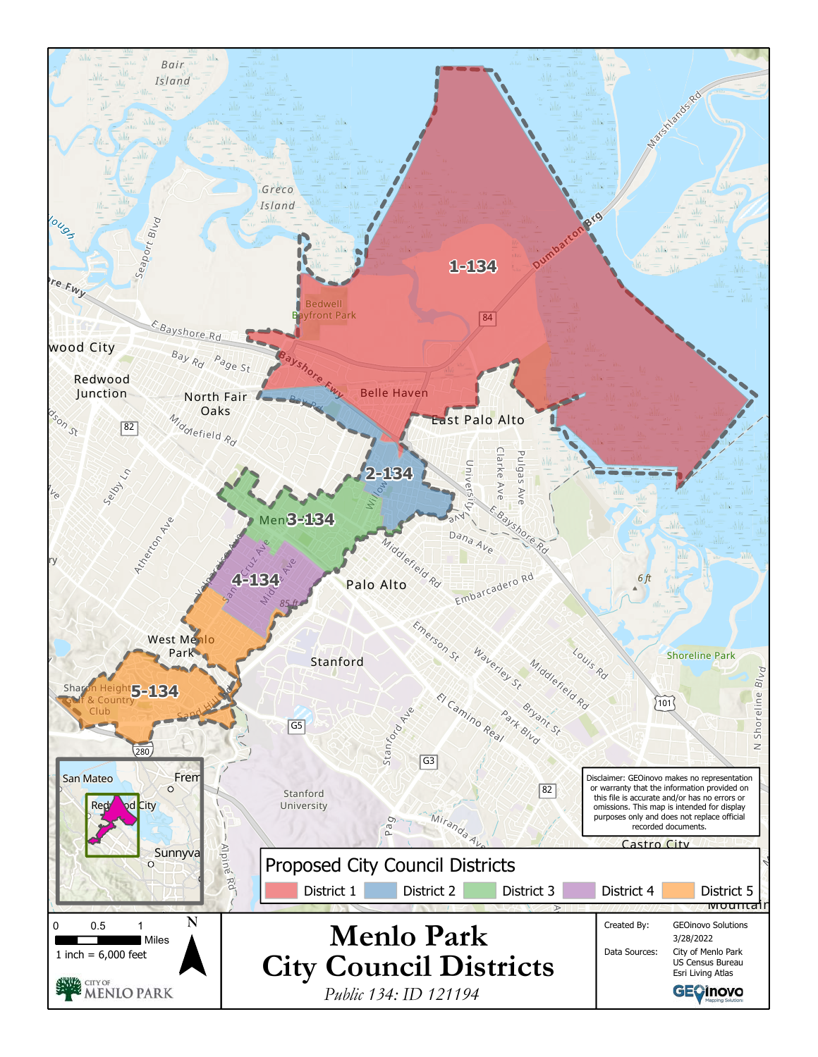